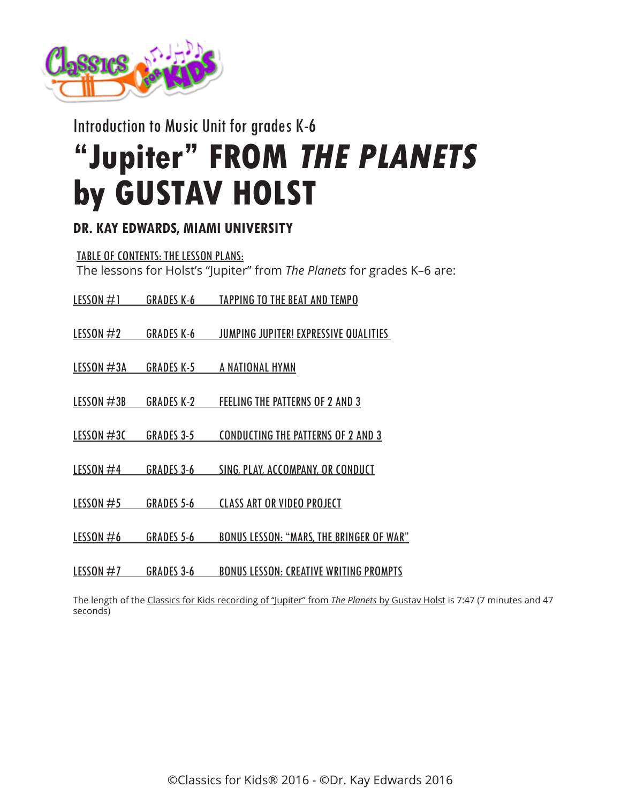

Introduction to Music Unit for grades K-6

# **"Jupiter" FROM THE PLANETS by GUSTAV HOLST**

# **DR. KAY EDWARDS, MIAMI UNIVERSITY**

TABLE OF CONTENTS: THE LESSON PLANS: The lessons for Holst's "Jupiter" from *The Planets* for grades K–6 are:

| <b>LESSON</b> $#1$ | <b>GRADES K-6</b> | <b>TAPPING TO THE BEAT AND TEMPO</b>      |
|--------------------|-------------------|-------------------------------------------|
|                    |                   |                                           |
| LESSON $#2$        | GRADES K-6        | JUMPING JUPITER! EXPRESSIVE QUALITIES     |
| <b>LESSON #3A</b>  | <b>GRADES K-5</b> | A NATIONAL HYMN                           |
| <b>LESSON #3B</b>  | <b>GRADES K-2</b> | <b>FEELING THE PATTERNS OF 2 AND 3</b>    |
| LESSON $#3C$       | <b>GRADES 3-5</b> | <b>CONDUCTING THE PATTERNS OF 2 AND 3</b> |

- LESSON #4 GRADES 3-6 [SING, PLAY, ACCOMPANY, OR CONDUCT](http://www.classicsforkids.com/downloads/holst/Holst_LessonPlans3-6_part4.pdf)
- LESSON #5 GRADES 5-6 [CLASS ART OR VIDEO PROJECT](http://www.classicsforkids.com/downloads/holst/Holst_LessonPlans5-6_part5.pdf)
- LESSON #6 GRADES 5-6 [BONUS LESSON: "MARS, THE BRINGER OF WAR"](http://www.classicsforkids.com/downloads/holst/Holst_LessonPlans5-6_part6.pdf)
- LESSON #7 GRADES 3-6 [BONUS LESSON: CREATIVE WRITING PROMPTS](http://www.classicsforkids.com/downloads/holst/Holst_LessonPlans3-6_part7.pdf)

The length of the [Classics for Kids recording of "Jupiter" from](http://www.classicsforkids.com/music/hearthemusic.php?id=36) *The Planets* by Gustav Holst is 7:47 (7 minutes and 47 seconds)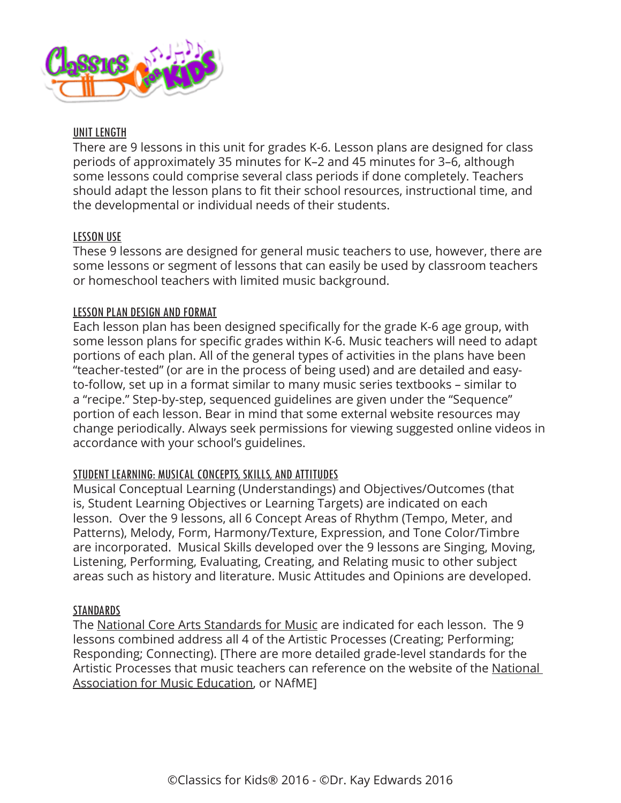

## UNIT LENGTH

There are 9 lessons in this unit for grades K-6. Lesson plans are designed for class periods of approximately 35 minutes for K–2 and 45 minutes for 3–6, although some lessons could comprise several class periods if done completely. Teachers should adapt the lesson plans to fit their school resources, instructional time, and the developmental or individual needs of their students.

# LESSON USE

These 9 lessons are designed for general music teachers to use, however, there are some lessons or segment of lessons that can easily be used by classroom teachers or homeschool teachers with limited music background.

# LESSON PLAN DESIGN AND FORMAT

Each lesson plan has been designed specifically for the grade K-6 age group, with some lesson plans for specific grades within K-6. Music teachers will need to adapt portions of each plan. All of the general types of activities in the plans have been "teacher-tested" (or are in the process of being used) and are detailed and easyto-follow, set up in a format similar to many music series textbooks – similar to a "recipe." Step-by-step, sequenced guidelines are given under the "Sequence" portion of each lesson. Bear in mind that some external website resources may change periodically. Always seek permissions for viewing suggested online videos in accordance with your school's guidelines.

# STUDENT LEARNING: MUSICAL CONCEPTS, SKILLS, AND ATTITUDES

Musical Conceptual Learning (Understandings) and Objectives/Outcomes (that is, Student Learning Objectives or Learning Targets) are indicated on each lesson. Over the 9 lessons, all 6 Concept Areas of Rhythm (Tempo, Meter, and Patterns), Melody, Form, Harmony/Texture, Expression, and Tone Color/Timbre are incorporated. Musical Skills developed over the 9 lessons are Singing, Moving, Listening, Performing, Evaluating, Creating, and Relating music to other subject areas such as history and literature. Music Attitudes and Opinions are developed.

#### **STANDARDS**

The [National Core Arts Standards for Music](http://www.nationalartsstandards.org) are indicated for each lesson. The 9 lessons combined address all 4 of the Artistic Processes (Creating; Performing; Responding; Connecting). [There are more detailed grade-level standards for the Artistic Processes that music teachers can reference on the website of the [National](http://www.nafme.org/my-classroom/standards/)  [Association for Music Education](http://www.nafme.org/my-classroom/standards/), or NAfME]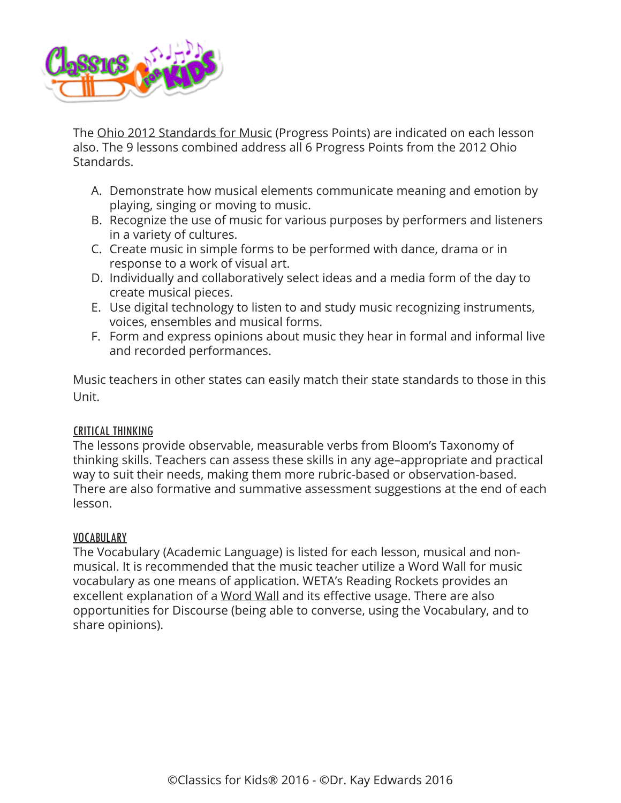

The [Ohio 2012 Standards for Music](http://education.ohio.gov/Topics/Ohios-Learning-Standards/Fine-Arts) (Progress Points) are indicated on each lesson also. The 9 lessons combined address all 6 Progress Points from the 2012 Ohio Standards.

- A. Demonstrate how musical elements communicate meaning and emotion by playing, singing or moving to music.
- B. Recognize the use of music for various purposes by performers and listeners in a variety of cultures.
- C. Create music in simple forms to be performed with dance, drama or in response to a work of visual art.
- D. Individually and collaboratively select ideas and a media form of the day to create musical pieces.
- E. Use digital technology to listen to and study music recognizing instruments, voices, ensembles and musical forms.
- F. Form and express opinions about music they hear in formal and informal live and recorded performances.

Music teachers in other states can easily match their state standards to those in this Unit.

# CRITICAL THINKING

The lessons provide observable, measurable verbs from Bloom's Taxonomy of thinking skills. Teachers can assess these skills in any age–appropriate and practical way to suit their needs, making them more rubric-based or observation-based. There are also formative and summative assessment suggestions at the end of each lesson.

# VOCABULARY

The Vocabulary (Academic Language) is listed for each lesson, musical and nonmusical. It is recommended that the music teacher utilize a Word Wall for music vocabulary as one means of application. WETA's Reading Rockets provides an excellent explanation of a [Word Wall](http://www.readingrockets.org/strategies/word_walls) and its effective usage. There are also opportunities for Discourse (being able to converse, using the Vocabulary, and to share opinions).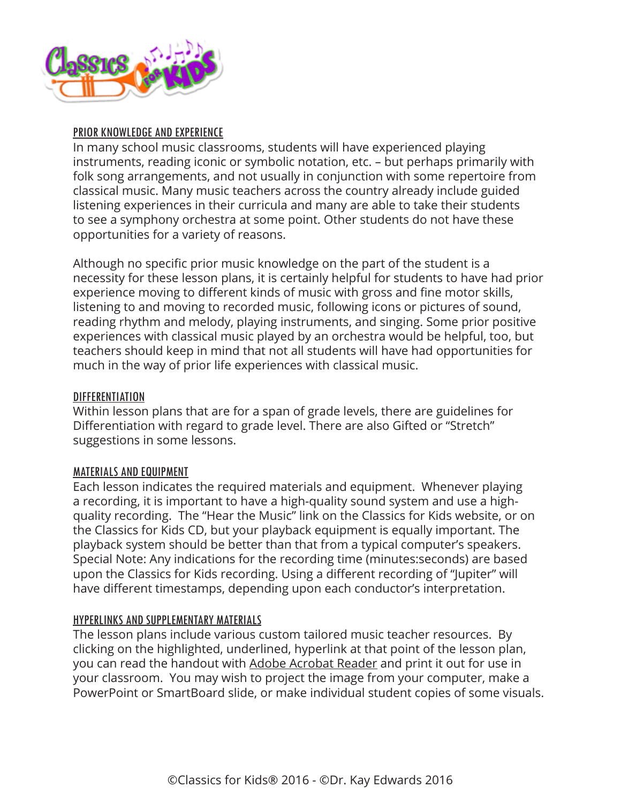

# PRIOR KNOWLEDGE AND EXPERIENCE

In many school music classrooms, students will have experienced playing instruments, reading iconic or symbolic notation, etc. – but perhaps primarily with folk song arrangements, and not usually in conjunction with some repertoire from classical music. Many music teachers across the country already include guided listening experiences in their curricula and many are able to take their students to see a symphony orchestra at some point. Other students do not have these opportunities for a variety of reasons.

Although no specific prior music knowledge on the part of the student is a necessity for these lesson plans, it is certainly helpful for students to have had prior experience moving to different kinds of music with gross and fine motor skills, listening to and moving to recorded music, following icons or pictures of sound, reading rhythm and melody, playing instruments, and singing. Some prior positive experiences with classical music played by an orchestra would be helpful, too, but teachers should keep in mind that not all students will have had opportunities for much in the way of prior life experiences with classical music.

## DIFFERENTIATION

Within lesson plans that are for a span of grade levels, there are guidelines for Differentiation with regard to grade level. There are also Gifted or "Stretch" suggestions in some lessons.

#### MATERIALS AND EQUIPMENT

Each lesson indicates the required materials and equipment. Whenever playing a recording, it is important to have a high-quality sound system and use a highquality recording. The "Hear the Music" link on the Classics for Kids website, or on the Classics for Kids CD, but your playback equipment is equally important. The playback system should be better than that from a typical computer's speakers. Special Note: Any indications for the recording time (minutes:seconds) are based upon the Classics for Kids recording. Using a different recording of "Jupiter" will have different timestamps, depending upon each conductor's interpretation.

#### HYPERLINKS AND SUPPLEMENTARY MATERIALS

The lesson plans include various custom tailored music teacher resources. By clicking on the highlighted, underlined, hyperlink at that point of the lesson plan, you can read the handout with [Adobe Acrobat Reader](https://get.adobe.com/reader/) and print it out for use in your classroom. You may wish to project the image from your computer, make a PowerPoint or SmartBoard slide, or make individual student copies of some visuals.